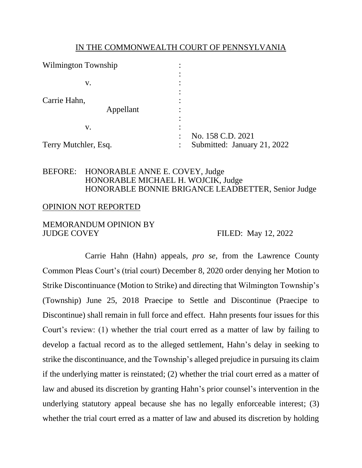#### IN THE COMMONWEALTH COURT OF PENNSYLVANIA

| <b>Wilmington Township</b> | ٠                                        |
|----------------------------|------------------------------------------|
|                            |                                          |
| V.                         |                                          |
| Carrie Hahn,               |                                          |
| Appellant                  |                                          |
| v.                         |                                          |
|                            | No. 158 C.D. 2021                        |
| Terry Mutchler, Esq.       | Submitted: January 21, 2022<br>$\bullet$ |

### BEFORE: HONORABLE ANNE E. COVEY, Judge HONORABLE MICHAEL H. WOJCIK, Judge HONORABLE BONNIE BRIGANCE LEADBETTER, Senior Judge

#### OPINION NOT REPORTED

### MEMORANDUM OPINION BY JUDGE COVEY FILED: May 12, 2022

Carrie Hahn (Hahn) appeals, *pro se*, from the Lawrence County Common Pleas Court's (trial court) December 8, 2020 order denying her Motion to Strike Discontinuance (Motion to Strike) and directing that Wilmington Township's (Township) June 25, 2018 Praecipe to Settle and Discontinue (Praecipe to Discontinue) shall remain in full force and effect. Hahn presents four issues for this Court's review: (1) whether the trial court erred as a matter of law by failing to develop a factual record as to the alleged settlement, Hahn's delay in seeking to strike the discontinuance, and the Township's alleged prejudice in pursuing its claim if the underlying matter is reinstated; (2) whether the trial court erred as a matter of law and abused its discretion by granting Hahn's prior counsel's intervention in the underlying statutory appeal because she has no legally enforceable interest; (3) whether the trial court erred as a matter of law and abused its discretion by holding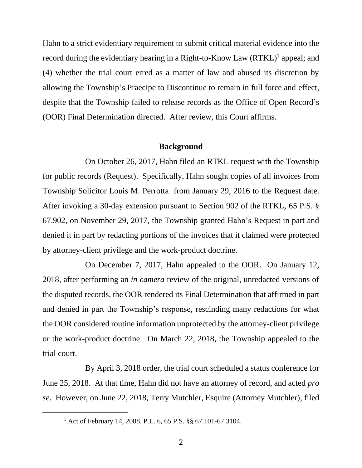Hahn to a strict evidentiary requirement to submit critical material evidence into the record during the evidentiary hearing in a Right-to-Know Law  $(RTKL)^1$  appeal; and (4) whether the trial court erred as a matter of law and abused its discretion by allowing the Township's Praecipe to Discontinue to remain in full force and effect, despite that the Township failed to release records as the Office of Open Record's (OOR) Final Determination directed. After review, this Court affirms.

#### **Background**

On October 26, 2017, Hahn filed an RTKL request with the Township for public records (Request). Specifically, Hahn sought copies of all invoices from Township Solicitor Louis M. Perrotta from January 29, 2016 to the Request date. After invoking a 30-day extension pursuant to Section 902 of the RTKL, 65 P.S. § 67.902, on November 29, 2017, the Township granted Hahn's Request in part and denied it in part by redacting portions of the invoices that it claimed were protected by attorney-client privilege and the work-product doctrine.

On December 7, 2017, Hahn appealed to the OOR. On January 12, 2018, after performing an *in camera* review of the original, unredacted versions of the disputed records, the OOR rendered its Final Determination that affirmed in part and denied in part the Township's response, rescinding many redactions for what the OOR considered routine information unprotected by the attorney-client privilege or the work-product doctrine. On March 22, 2018, the Township appealed to the trial court.

By April 3, 2018 order, the trial court scheduled a status conference for June 25, 2018. At that time, Hahn did not have an attorney of record, and acted *pro se*. However, on June 22, 2018, Terry Mutchler, Esquire (Attorney Mutchler), filed

<sup>1</sup> Act of February 14, 2008, P.L. 6, 65 P.S. §§ 67.101-67.3104.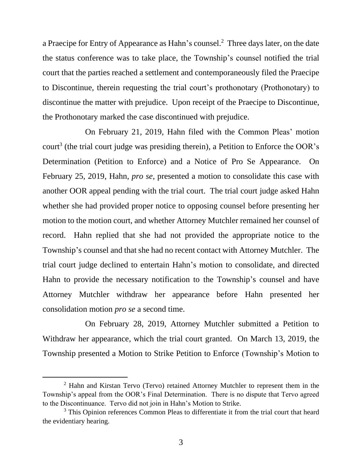a Praecipe for Entry of Appearance as Hahn's counsel.<sup>2</sup> Three days later, on the date the status conference was to take place, the Township's counsel notified the trial court that the parties reached a settlement and contemporaneously filed the Praecipe to Discontinue, therein requesting the trial court's prothonotary (Prothonotary) to discontinue the matter with prejudice. Upon receipt of the Praecipe to Discontinue, the Prothonotary marked the case discontinued with prejudice.

On February 21, 2019, Hahn filed with the Common Pleas' motion court<sup>3</sup> (the trial court judge was presiding therein), a Petition to Enforce the OOR's Determination (Petition to Enforce) and a Notice of Pro Se Appearance. On February 25, 2019, Hahn, *pro se*, presented a motion to consolidate this case with another OOR appeal pending with the trial court. The trial court judge asked Hahn whether she had provided proper notice to opposing counsel before presenting her motion to the motion court, and whether Attorney Mutchler remained her counsel of record. Hahn replied that she had not provided the appropriate notice to the Township's counsel and that she had no recent contact with Attorney Mutchler. The trial court judge declined to entertain Hahn's motion to consolidate, and directed Hahn to provide the necessary notification to the Township's counsel and have Attorney Mutchler withdraw her appearance before Hahn presented her consolidation motion *pro se* a second time.

On February 28, 2019, Attorney Mutchler submitted a Petition to Withdraw her appearance, which the trial court granted. On March 13, 2019, the Township presented a Motion to Strike Petition to Enforce (Township's Motion to

<sup>2</sup> Hahn and Kirstan Tervo (Tervo) retained Attorney Mutchler to represent them in the Township's appeal from the OOR's Final Determination. There is no dispute that Tervo agreed to the Discontinuance. Tervo did not join in Hahn's Motion to Strike.

<sup>&</sup>lt;sup>3</sup> This Opinion references Common Pleas to differentiate it from the trial court that heard the evidentiary hearing.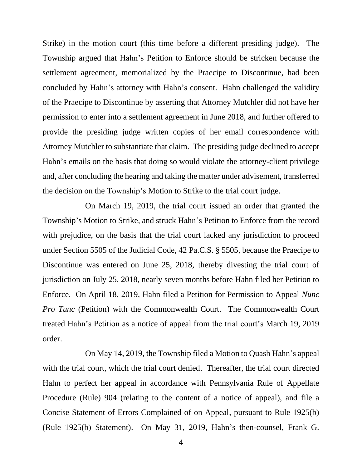Strike) in the motion court (this time before a different presiding judge). The Township argued that Hahn's Petition to Enforce should be stricken because the settlement agreement, memorialized by the Praecipe to Discontinue, had been concluded by Hahn's attorney with Hahn's consent. Hahn challenged the validity of the Praecipe to Discontinue by asserting that Attorney Mutchler did not have her permission to enter into a settlement agreement in June 2018, and further offered to provide the presiding judge written copies of her email correspondence with Attorney Mutchler to substantiate that claim. The presiding judge declined to accept Hahn's emails on the basis that doing so would violate the attorney-client privilege and, after concluding the hearing and taking the matter under advisement, transferred the decision on the Township's Motion to Strike to the trial court judge.

On March 19, 2019, the trial court issued an order that granted the Township's Motion to Strike, and struck Hahn's Petition to Enforce from the record with prejudice, on the basis that the trial court lacked any jurisdiction to proceed under Section 5505 of the Judicial Code, 42 Pa.C.S. § 5505, because the Praecipe to Discontinue was entered on June 25, 2018, thereby divesting the trial court of jurisdiction on July 25, 2018, nearly seven months before Hahn filed her Petition to Enforce. On April 18, 2019, Hahn filed a Petition for Permission to Appeal *Nunc Pro Tunc* (Petition) with the Commonwealth Court. The Commonwealth Court treated Hahn's Petition as a notice of appeal from the trial court's March 19, 2019 order.

On May 14, 2019, the Township filed a Motion to Quash Hahn's appeal with the trial court, which the trial court denied. Thereafter, the trial court directed Hahn to perfect her appeal in accordance with Pennsylvania Rule of Appellate Procedure (Rule) 904 (relating to the content of a notice of appeal), and file a Concise Statement of Errors Complained of on Appeal, pursuant to Rule 1925(b) (Rule 1925(b) Statement). On May 31, 2019, Hahn's then-counsel, Frank G.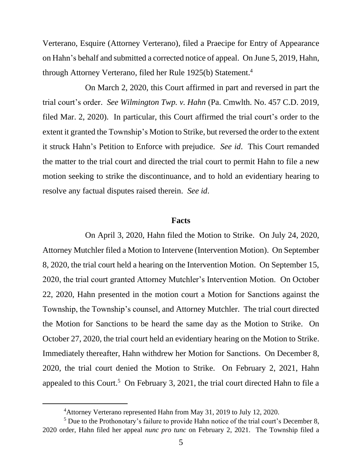Verterano, Esquire (Attorney Verterano), filed a Praecipe for Entry of Appearance on Hahn's behalf and submitted a corrected notice of appeal. On June 5, 2019, Hahn, through Attorney Verterano, filed her Rule 1925(b) Statement. 4

On March 2, 2020, this Court affirmed in part and reversed in part the trial court's order. *See Wilmington Twp. v. Hahn* (Pa. Cmwlth. No. 457 C.D. 2019, filed Mar. 2, 2020). In particular, this Court affirmed the trial court's order to the extent it granted the Township's Motion to Strike, but reversed the order to the extent it struck Hahn's Petition to Enforce with prejudice. *See id*.This Court remanded the matter to the trial court and directed the trial court to permit Hahn to file a new motion seeking to strike the discontinuance, and to hold an evidentiary hearing to resolve any factual disputes raised therein. *See id*.

#### **Facts**

On April 3, 2020, Hahn filed the Motion to Strike.On July 24, 2020, Attorney Mutchler filed a Motion to Intervene (Intervention Motion). On September 8, 2020, the trial court held a hearing on the Intervention Motion. On September 15, 2020, the trial court granted Attorney Mutchler's Intervention Motion. On October 22, 2020, Hahn presented in the motion court a Motion for Sanctions against the Township, the Township's counsel, and Attorney Mutchler. The trial court directed the Motion for Sanctions to be heard the same day as the Motion to Strike. On October 27, 2020, the trial court held an evidentiary hearing on the Motion to Strike. Immediately thereafter, Hahn withdrew her Motion for Sanctions. On December 8, 2020, the trial court denied the Motion to Strike. On February 2, 2021, Hahn appealed to this Court.<sup>5</sup> On February 3, 2021, the trial court directed Hahn to file a

<sup>4</sup>Attorney Verterano represented Hahn from May 31, 2019 to July 12, 2020.

 $<sup>5</sup>$  Due to the Prothonotary's failure to provide Hahn notice of the trial court's December 8,</sup> 2020 order, Hahn filed her appeal *nunc pro tunc* on February 2, 2021. The Township filed a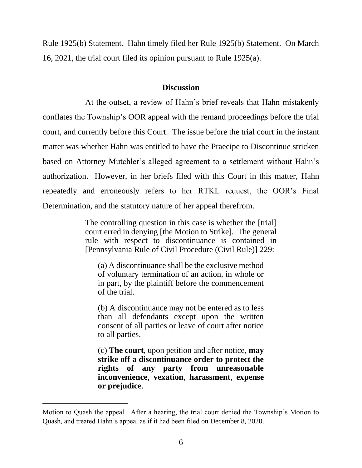Rule 1925(b) Statement. Hahn timely filed her Rule 1925(b) Statement. On March 16, 2021, the trial court filed its opinion pursuant to Rule 1925(a).

### **Discussion**

At the outset, a review of Hahn's brief reveals that Hahn mistakenly conflates the Township's OOR appeal with the remand proceedings before the trial court, and currently before this Court. The issue before the trial court in the instant matter was whether Hahn was entitled to have the Praecipe to Discontinue stricken based on Attorney Mutchler's alleged agreement to a settlement without Hahn's authorization. However, in her briefs filed with this Court in this matter, Hahn repeatedly and erroneously refers to her RTKL request, the OOR's Final Determination, and the statutory nature of her appeal therefrom.

> The controlling question in this case is whether the [trial] court erred in denying [the Motion to Strike]. The general rule with respect to discontinuance is contained in [Pennsylvania Rule of Civil Procedure (Civil Rule)] 229:

(a) A discontinuance shall be the exclusive method of voluntary termination of an action, in whole or in part, by the plaintiff before the commencement of the trial.

(b) A discontinuance may not be entered as to less than all defendants except upon the written consent of all parties or leave of court after notice to all parties.

(c) **The court**, upon petition and after notice, **may strike off a discontinuance order to protect the rights of any party from unreasonable inconvenience**, **vexation**, **harassment**, **expense or prejudice**.

Motion to Quash the appeal. After a hearing, the trial court denied the Township's Motion to Quash, and treated Hahn's appeal as if it had been filed on December 8, 2020.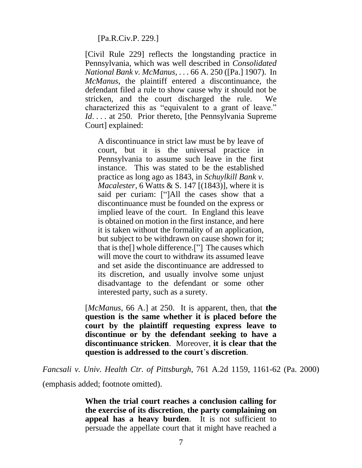[Pa.R.Civ.P. 229.]

[Civil Rule 229] reflects the longstanding practice in Pennsylvania, which was well described in *Consolidated National Bank v. McManus*, . . . 66 A. 250 ([Pa.] 1907). In *McManus*, the plaintiff entered a discontinuance, the defendant filed a rule to show cause why it should not be stricken, and the court discharged the rule. We characterized this as "equivalent to a grant of leave." *Id.* . . . at 250. Prior thereto, [the Pennsylvania Supreme Court] explained:

A discontinuance in strict law must be by leave of court, but it is the universal practice in Pennsylvania to assume such leave in the first instance. This was stated to be the established practice as long ago as 1843, in *Schuylkill Bank v. Macalester*, 6 Watts & S. 147 [(1843)], where it is said per curiam: ["]All the cases show that a discontinuance must be founded on the express or implied leave of the court. In England this leave is obtained on motion in the first instance, and here it is taken without the formality of an application, but subject to be withdrawn on cause shown for it; that is the[] whole difference.["] The causes which will move the court to withdraw its assumed leave and set aside the discontinuance are addressed to its discretion, and usually involve some unjust disadvantage to the defendant or some other interested party, such as a surety.

[*McManus*, 66 A.] at 250. It is apparent, then, that **the question is the same whether it is placed before the court by the plaintiff requesting express leave to discontinue or by the defendant seeking to have a discontinuance stricken**. Moreover, **it is clear that the question is addressed to the court**'**s discretion**.

*Fancsali v. Univ. Health Ctr. of Pittsburgh*, 761 A.2d 1159, 1161-62 (Pa. 2000)

(emphasis added; footnote omitted).

**When the trial court reaches a conclusion calling for the exercise of its discretion**, **the party complaining on appeal has a heavy burden**. It is not sufficient to persuade the appellate court that it might have reached a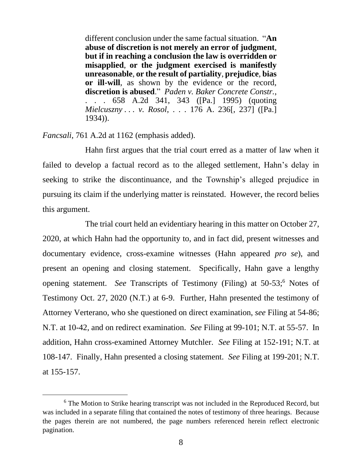different conclusion under the same factual situation. "**An abuse of discretion is not merely an error of judgment**, **but if in reaching a conclusion the law is overridden or misapplied**, **or the judgment exercised is manifestly unreasonable**, **or the result of partiality**, **prejudice**, **bias or ill-will**, as shown by the evidence or the record, **discretion is abused**." *Paden v. Baker Concrete Constr.*, . . . 658 A.2d 341, 343 ([Pa.] 1995) (quoting *Mielcuszny . . . v. Rosol*, . . . 176 A. 236[, 237] ([Pa.] 1934)).

*Fancsali*, 761 A.2d at 1162 (emphasis added).

Hahn first argues that the trial court erred as a matter of law when it failed to develop a factual record as to the alleged settlement, Hahn's delay in seeking to strike the discontinuance, and the Township's alleged prejudice in pursuing its claim if the underlying matter is reinstated. However, the record belies this argument.

The trial court held an evidentiary hearing in this matter on October 27, 2020, at which Hahn had the opportunity to, and in fact did, present witnesses and documentary evidence, cross-examine witnesses (Hahn appeared *pro se*), and present an opening and closing statement. Specifically, Hahn gave a lengthy opening statement. *See* Transcripts of Testimony (Filing) at 50-53; <sup>6</sup> Notes of Testimony Oct. 27, 2020 (N.T.) at 6-9. Further, Hahn presented the testimony of Attorney Verterano, who she questioned on direct examination, *see* Filing at 54-86; N.T. at 10-42, and on redirect examination. *See* Filing at 99-101; N.T. at 55-57. In addition, Hahn cross-examined Attorney Mutchler. *See* Filing at 152-191; N.T. at 108-147. Finally, Hahn presented a closing statement. *See* Filing at 199-201; N.T. at 155-157.

<sup>&</sup>lt;sup>6</sup> The Motion to Strike hearing transcript was not included in the Reproduced Record, but was included in a separate filing that contained the notes of testimony of three hearings. Because the pages therein are not numbered, the page numbers referenced herein reflect electronic pagination.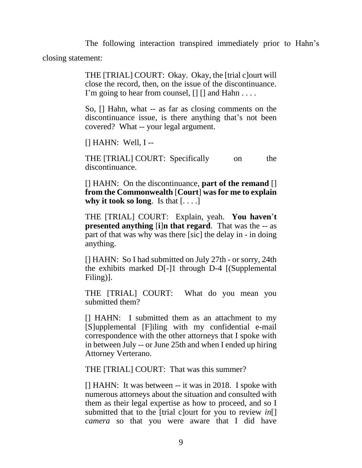The following interaction transpired immediately prior to Hahn's closing statement:

> THE [TRIAL] COURT: Okay. Okay, the [trial c]ourt will close the record, then, on the issue of the discontinuance. I'm going to hear from counsel,  $\lceil \cdot \rceil \rceil$  and Hahn ....

> So, [] Hahn, what -- as far as closing comments on the discontinuance issue, is there anything that's not been covered? What -- your legal argument.

[] HAHN: Well, I --

THE [TRIAL] COURT: Specifically on the discontinuance.

[] HAHN: On the discontinuance, **part of the remand** [] **from the Commonwealth** [**Court**] **was for me to explain why it took so long**. Is that [. . . .]

THE [TRIAL] COURT: Explain, yeah. **You haven**'**t presented anything** [**i**]**n that regard**. That was the -- as part of that was why was there [sic] the delay in - in doing anything.

[] HAHN: So I had submitted on July 27th - or sorry, 24th the exhibits marked D[-]1 through D-4 [(Supplemental Filing)].

THE [TRIAL] COURT: What do you mean you submitted them?

[] HAHN: I submitted them as an attachment to my [S]upplemental [F]iling with my confidential e-mail correspondence with the other attorneys that I spoke with in between July -- or June 25th and when I ended up hiring Attorney Verterano.

THE [TRIAL] COURT: That was this summer?

[] HAHN: It was between -- it was in 2018. I spoke with numerous attorneys about the situation and consulted with them as their legal expertise as how to proceed, and so I submitted that to the [trial c]ourt for you to review *in*[] *camera* so that you were aware that I did have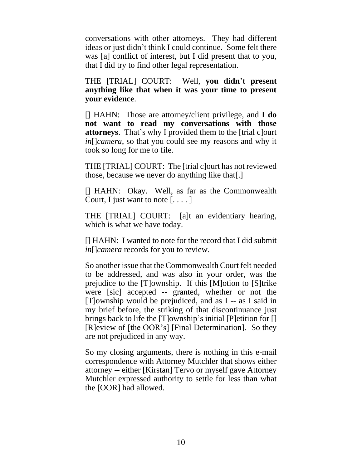conversations with other attorneys. They had different ideas or just didn't think I could continue. Some felt there was [a] conflict of interest, but I did present that to you, that I did try to find other legal representation.

THE [TRIAL] COURT: Well, **you didn**'**t present anything like that when it was your time to present your evidence**.

[] HAHN: Those are attorney/client privilege, and **I do not want to read my conversations with those attorneys**. That's why I provided them to the [trial c]ourt *in*[]*camera*, so that you could see my reasons and why it took so long for me to file.

THE [TRIAL] COURT: The [trial c]ourt has not reviewed those, because we never do anything like that[.]

[] HAHN: Okay. Well, as far as the Commonwealth Court, I just want to note  $[\dots]$ 

THE [TRIAL] COURT: [a]t an evidentiary hearing, which is what we have today.

[] HAHN: I wanted to note for the record that I did submit *in*[]*camera* records for you to review.

So another issue that the Commonwealth Court felt needed to be addressed, and was also in your order, was the prejudice to the [T]ownship. If this [M]otion to [S]trike were [sic] accepted -- granted, whether or not the [T]ownship would be prejudiced, and as I -- as I said in my brief before, the striking of that discontinuance just brings back to life the [T]ownship's initial [P]etition for [] [R]eview of [the OOR's] [Final Determination]. So they are not prejudiced in any way.

So my closing arguments, there is nothing in this e-mail correspondence with Attorney Mutchler that shows either attorney -- either [Kirstan] Tervo or myself gave Attorney Mutchler expressed authority to settle for less than what the [OOR] had allowed.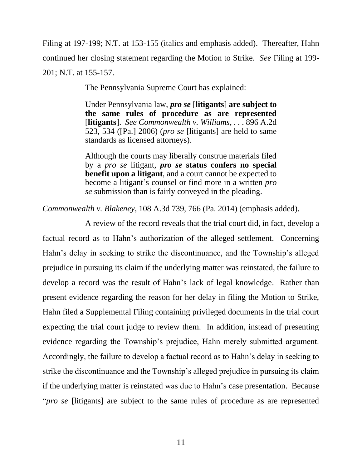Filing at 197-199; N.T. at 153-155 (italics and emphasis added). Thereafter, Hahn continued her closing statement regarding the Motion to Strike. *See* Filing at 199- 201; N.T. at 155-157.

The Pennsylvania Supreme Court has explained:

Under Pennsylvania law, *pro se* [**litigants**] **are subject to the same rules of procedure as are represented** [**litigants**]. *See Commonwealth v. Williams*, . . . 896 A.2d 523, 534 ([Pa.] 2006) (*pro se* [litigants] are held to same standards as licensed attorneys).

Although the courts may liberally construe materials filed by a *pro se* litigant, *pro se* **status confers no special benefit upon a litigant**, and a court cannot be expected to become a litigant's counsel or find more in a written *pro se* submission than is fairly conveyed in the pleading.

*Commonwealth v. Blakeney*, 108 A.3d 739, 766 (Pa. 2014) (emphasis added).

A review of the record reveals that the trial court did, in fact, develop a factual record as to Hahn's authorization of the alleged settlement. Concerning Hahn's delay in seeking to strike the discontinuance, and the Township's alleged prejudice in pursuing its claim if the underlying matter was reinstated, the failure to develop a record was the result of Hahn's lack of legal knowledge. Rather than present evidence regarding the reason for her delay in filing the Motion to Strike, Hahn filed a Supplemental Filing containing privileged documents in the trial court expecting the trial court judge to review them. In addition, instead of presenting evidence regarding the Township's prejudice, Hahn merely submitted argument. Accordingly, the failure to develop a factual record as to Hahn's delay in seeking to strike the discontinuance and the Township's alleged prejudice in pursuing its claim if the underlying matter is reinstated was due to Hahn's case presentation. Because "*pro se* [litigants] are subject to the same rules of procedure as are represented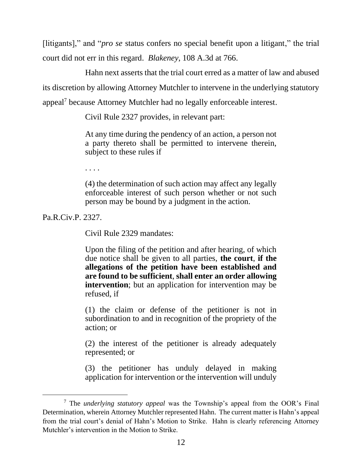[litigants]," and "*pro se* status confers no special benefit upon a litigant," the trial court did not err in this regard. *Blakeney*, 108 A.3d at 766.

Hahn next asserts that the trial court erred as a matter of law and abused its discretion by allowing Attorney Mutchler to intervene in the underlying statutory appeal<sup>7</sup> because Attorney Mutchler had no legally enforceable interest.

Civil Rule 2327 provides, in relevant part:

At any time during the pendency of an action, a person not a party thereto shall be permitted to intervene therein, subject to these rules if

. . . .

(4) the determination of such action may affect any legally enforceable interest of such person whether or not such person may be bound by a judgment in the action.

Pa.R.Civ.P. 2327.

Civil Rule 2329 mandates:

Upon the filing of the petition and after hearing, of which due notice shall be given to all parties, **the court**, **if the allegations of the petition have been established and are found to be sufficient**, **shall enter an order allowing intervention**; but an application for intervention may be refused, if

(1) the claim or defense of the petitioner is not in subordination to and in recognition of the propriety of the action; or

(2) the interest of the petitioner is already adequately represented; or

(3) the petitioner has unduly delayed in making application for intervention or the intervention will unduly

<sup>7</sup> The *underlying statutory appeal* was the Township's appeal from the OOR's Final Determination, wherein Attorney Mutchler represented Hahn. The current matter is Hahn's appeal from the trial court's denial of Hahn's Motion to Strike. Hahn is clearly referencing Attorney Mutchler's intervention in the Motion to Strike.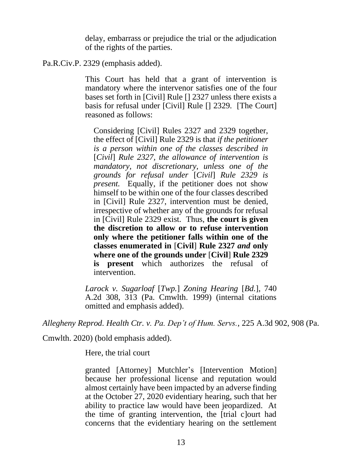delay, embarrass or prejudice the trial or the adjudication of the rights of the parties.

## Pa.R.Civ.P. 2329 (emphasis added).

This Court has held that a grant of intervention is mandatory where the intervenor satisfies one of the four bases set forth in [Civil] Rule [] 2327 unless there exists a basis for refusal under [Civil] Rule [] 2329. [The Court] reasoned as follows:

Considering [Civil] Rules 2327 and 2329 together, the effect of [Civil] Rule 2329 is that *if the petitioner is a person within one of the classes described in*  [*Civil*] *Rule 2327, the allowance of intervention is mandatory, not discretionary, unless one of the grounds for refusal under* [*Civil*] *Rule 2329 is present.* Equally, if the petitioner does not show himself to be within one of the four classes described in [Civil] Rule 2327, intervention must be denied, irrespective of whether any of the grounds for refusal in [Civil] Rule 2329 exist. Thus, **the court is given the discretion to allow or to refuse intervention only where the petitioner falls within one of the classes enumerated in** [**Civil**] **Rule 2327** *and* **only where one of the grounds under** [**Civil**] **Rule 2329 is present** which authorizes the refusal of intervention.

*Larock v. Sugarloaf* [*Twp.*] *Zoning Hearing* [*Bd.*], 740 A.2d 308, 313 (Pa. Cmwlth. 1999) (internal citations omitted and emphasis added).

*Allegheny Reprod. Health Ctr. v. Pa. Dep't of Hum. Servs.*, 225 A.3d 902, 908 (Pa.

Cmwlth. 2020) (bold emphasis added).

Here, the trial court

granted [Attorney] Mutchler's [Intervention Motion] because her professional license and reputation would almost certainly have been impacted by an adverse finding at the October 27, 2020 evidentiary hearing, such that her ability to practice law would have been jeopardized. At the time of granting intervention, the [trial c]ourt had concerns that the evidentiary hearing on the settlement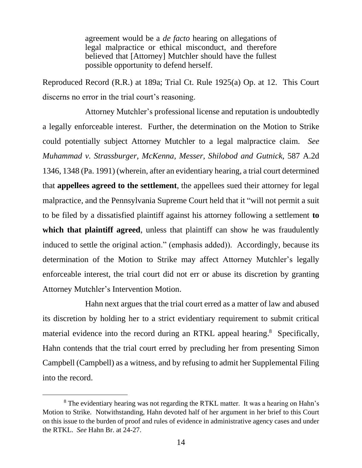agreement would be a *de facto* hearing on allegations of legal malpractice or ethical misconduct, and therefore believed that [Attorney] Mutchler should have the fullest possible opportunity to defend herself.

Reproduced Record (R.R.) at 189a; Trial Ct. Rule 1925(a) Op. at 12. This Court discerns no error in the trial court's reasoning.

Attorney Mutchler's professional license and reputation is undoubtedly a legally enforceable interest. Further, the determination on the Motion to Strike could potentially subject Attorney Mutchler to a legal malpractice claim. *See Muhammad v. Strassburger, McKenna, Messer, Shilobod and Gutnick*, 587 A.2d 1346, 1348 (Pa. 1991) (wherein, after an evidentiary hearing, a trial court determined that **appellees agreed to the settlement**, the appellees sued their attorney for legal malpractice, and the Pennsylvania Supreme Court held that it "will not permit a suit to be filed by a dissatisfied plaintiff against his attorney following a settlement **to which that plaintiff agreed**, unless that plaintiff can show he was fraudulently induced to settle the original action." (emphasis added)). Accordingly, because its determination of the Motion to Strike may affect Attorney Mutchler's legally enforceable interest, the trial court did not err or abuse its discretion by granting Attorney Mutchler's Intervention Motion.

Hahn next argues that the trial court erred as a matter of law and abused its discretion by holding her to a strict evidentiary requirement to submit critical material evidence into the record during an RTKL appeal hearing.<sup>8</sup> Specifically, Hahn contends that the trial court erred by precluding her from presenting Simon Campbell (Campbell) as a witness, and by refusing to admit her Supplemental Filing into the record.

<sup>&</sup>lt;sup>8</sup> The evidentiary hearing was not regarding the RTKL matter. It was a hearing on Hahn's Motion to Strike. Notwithstanding, Hahn devoted half of her argument in her brief to this Court on this issue to the burden of proof and rules of evidence in administrative agency cases and under the RTKL. *See* Hahn Br. at 24-27.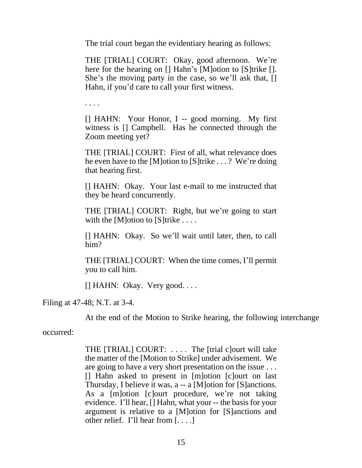The trial court began the evidentiary hearing as follows:

THE [TRIAL] COURT: Okay, good afternoon. We're here for the hearing on [] Hahn's [M]otion to [S]trike []. She's the moving party in the case, so we'll ask that, [] Hahn, if you'd care to call your first witness.

. . . .

[] HAHN: Your Honor, I -- good morning. My first witness is [] Campbell. Has he connected through the Zoom meeting yet?

THE [TRIAL] COURT: First of all, what relevance does he even have to the [M]otion to [S]trike . . . ? We're doing that hearing first.

[] HAHN: Okay. Your last e-mail to me instructed that they be heard concurrently.

THE [TRIAL] COURT: Right, but we're going to start with the [M]otion to [S]trike  $\dots$ .

[] HAHN: Okay. So we'll wait until later, then, to call him?

THE [TRIAL] COURT: When the time comes, I'll permit you to call him.

[] HAHN: Okay. Very good. . . .

Filing at 47-48; N.T. at 3-4.

At the end of the Motion to Strike hearing, the following interchange

occurred:

THE [TRIAL] COURT: . . . . The [trial c]ourt will take the matter of the [Motion to Strike] under advisement. We are going to have a very short presentation on the issue . . . [] Hahn asked to present in [m]otion [c]ourt on last Thursday, I believe it was, a -- a [M]otion for [S]anctions. As a [m]otion [c]ourt procedure, we're not taking evidence. I'll hear, [] Hahn, what your -- the basis for your argument is relative to a [M]otion for [S]anctions and other relief. I'll hear from [. . . .]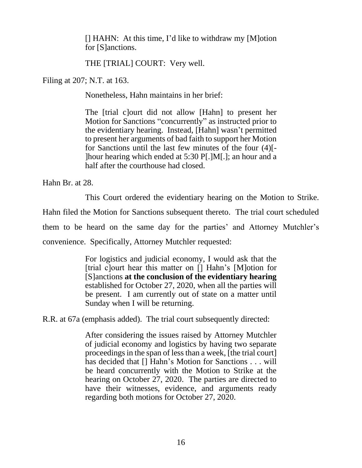[] HAHN: At this time, I'd like to withdraw my [M]otion for [S]anctions.

THE [TRIAL] COURT: Very well.

Filing at 207; N.T. at 163.

Nonetheless, Hahn maintains in her brief:

The [trial c]ourt did not allow [Hahn] to present her Motion for Sanctions "concurrently" as instructed prior to the evidentiary hearing. Instead, [Hahn] wasn't permitted to present her arguments of bad faith to support her Motion for Sanctions until the last few minutes of the four (4)[- ]hour hearing which ended at 5:30 P[.]M[.]; an hour and a half after the courthouse had closed.

Hahn Br. at 28.

This Court ordered the evidentiary hearing on the Motion to Strike. Hahn filed the Motion for Sanctions subsequent thereto. The trial court scheduled them to be heard on the same day for the parties' and Attorney Mutchler's convenience. Specifically, Attorney Mutchler requested:

> For logistics and judicial economy, I would ask that the [trial c]ourt hear this matter on [] Hahn's [M]otion for [S]anctions **at the conclusion of the evidentiary hearing**  established for October 27, 2020, when all the parties will be present. I am currently out of state on a matter until Sunday when I will be returning.

R.R. at 67a (emphasis added). The trial court subsequently directed:

After considering the issues raised by Attorney Mutchler of judicial economy and logistics by having two separate proceedings in the span of less than a week, [the trial court] has decided that [] Hahn's Motion for Sanctions . . . will be heard concurrently with the Motion to Strike at the hearing on October 27, 2020. The parties are directed to have their witnesses, evidence, and arguments ready regarding both motions for October 27, 2020.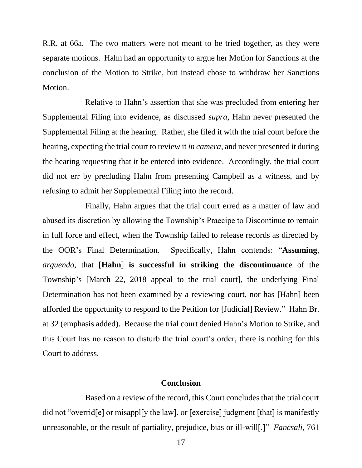R.R. at 66a. The two matters were not meant to be tried together, as they were separate motions. Hahn had an opportunity to argue her Motion for Sanctions at the conclusion of the Motion to Strike, but instead chose to withdraw her Sanctions Motion.

Relative to Hahn's assertion that she was precluded from entering her Supplemental Filing into evidence, as discussed *supra*, Hahn never presented the Supplemental Filing at the hearing. Rather, she filed it with the trial court before the hearing, expecting the trial court to review it *in camera*, and never presented it during the hearing requesting that it be entered into evidence. Accordingly, the trial court did not err by precluding Hahn from presenting Campbell as a witness, and by refusing to admit her Supplemental Filing into the record.

Finally, Hahn argues that the trial court erred as a matter of law and abused its discretion by allowing the Township's Praecipe to Discontinue to remain in full force and effect, when the Township failed to release records as directed by the OOR's Final Determination. Specifically, Hahn contends: "**Assuming**, *arguendo*, that [**Hahn**] **is successful in striking the discontinuance** of the Township's [March 22, 2018 appeal to the trial court], the underlying Final Determination has not been examined by a reviewing court, nor has [Hahn] been afforded the opportunity to respond to the Petition for [Judicial] Review." Hahn Br. at 32 (emphasis added). Because the trial court denied Hahn's Motion to Strike, and this Court has no reason to disturb the trial court's order, there is nothing for this Court to address.

#### **Conclusion**

Based on a review of the record, this Court concludes that the trial court did not "overrid[e] or misappl[y the law], or [exercise] judgment [that] is manifestly unreasonable, or the result of partiality, prejudice, bias or ill-will[.]" *Fancsali*, 761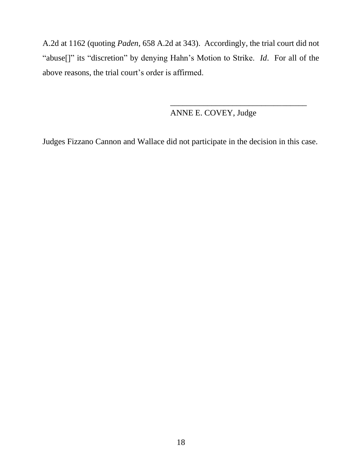A.2d at 1162 (quoting *Paden*, 658 A.2d at 343). Accordingly, the trial court did not "abuse[]" its "discretion" by denying Hahn's Motion to Strike. *Id*. For all of the above reasons, the trial court's order is affirmed.

## ANNE E. COVEY, Judge

\_\_\_\_\_\_\_\_\_\_\_\_\_\_\_\_\_\_\_\_\_\_\_\_\_\_\_\_\_\_\_\_\_

Judges Fizzano Cannon and Wallace did not participate in the decision in this case.